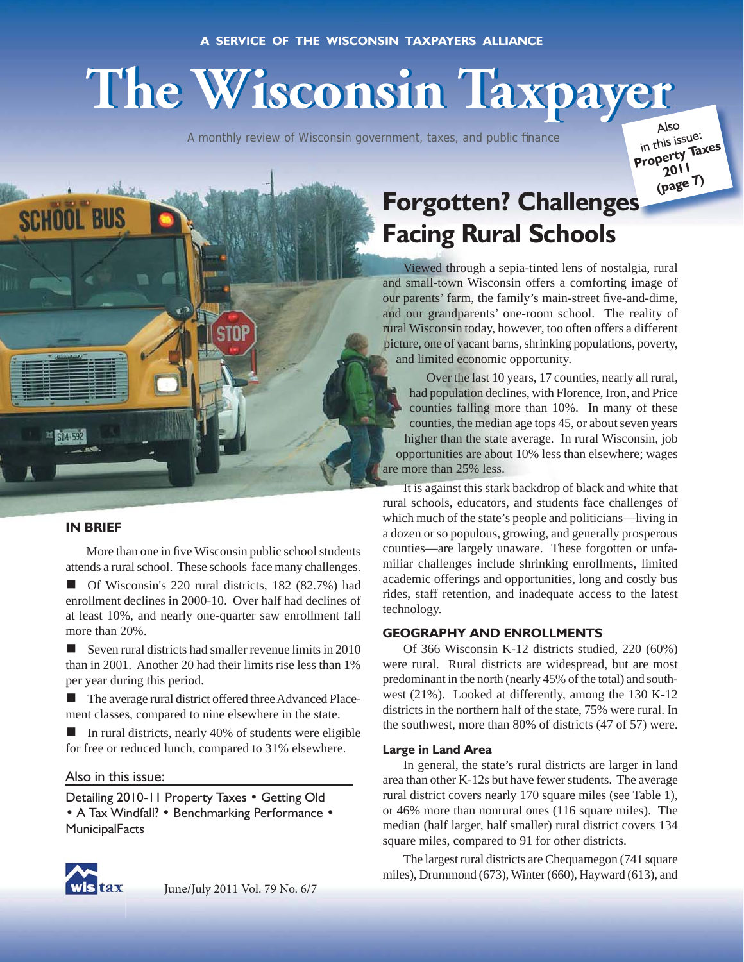# **The Wisconsin Taxpayer The Wisconsin Taxpayer**

A monthly review of Wisconsin government, taxes, and public finance

Also in this issue: **Property Taxes 201<sup>1</sup> (page 7)**

# **Forgotten? Challenges es Facing Rural Schools**

Viewed through a sepia-tinted lens of nostalgia, rural and small-town Wisconsin offers a comforting image of our parents' farm, the family's main-street five-and-dime, and our grandparents' one-room school. The reality of rural Wisconsin today, however, too often offers a different picture, one of vacant barns, shrinking populations, poverty, and limited economic opportunity.

Over the last 10 years, 17 counties, nearly all rural, had population declines, with Florence, Iron, and Price counties falling more than 10%. In many of these counties, the median age tops 45, or about seven years higher than the state average. In rural Wisconsin, job opportunities are about 10% less than elsewhere; wages are more than 25% less.

It is against this stark backdrop of black and white that rural schools, educators, and students face challenges of which much of the state's people and politicians—living in a dozen or so populous, growing, and generally prosperous counties—are largely unaware. These forgotten or unfamiliar challenges include shrinking enrollments, limited academic offerings and opportunities, long and costly bus rides, staff retention, and inadequate access to the latest technology.

# **GEOGRAPHY AND ENROLLMENTS**

Of 366 Wisconsin K-12 districts studied, 220 (60%) were rural. Rural districts are widespread, but are most predominant in the north (nearly 45% of the total) and southwest (21%). Looked at differently, among the 130 K-12 districts in the northern half of the state, 75% were rural. In the southwest, more than 80% of districts (47 of 57) were.

#### **Large in Land Area**

In general, the state's rural districts are larger in land area than other K-12s but have fewer students. The average rural district covers nearly 170 square miles (see Table 1), or 46% more than nonrural ones (116 square miles). The median (half larger, half smaller) rural district covers 134 square miles, compared to 91 for other districts.

The largest rural districts are Chequamegon (741 square miles), Drummond (673), Winter (660), Hayward (613), and

# **IN BRIEF**

**SCHOOL BUS** 

More than one in five Wisconsin public school students attends a rural school. These schools face many challenges.

 Of Wisconsin's 220 rural districts, 182 (82.7%) had enrollment declines in 2000-10. Over half had declines of at least 10%, and nearly one-quarter saw enrollment fall more than 20%.

Seven rural districts had smaller revenue limits in  $2010$ than in 2001. Another 20 had their limits rise less than 1% per year during this period.

 The average rural district offered three Advanced Placement classes, compared to nine elsewhere in the state.

 In rural districts, nearly 40% of students were eligible for free or reduced lunch, compared to 31% elsewhere.

#### Also in this issue:

Detailing 2010-11 Property Taxes • Getting Old • A Tax Windfall? • Benchmarking Performance • **MunicipalFacts** 

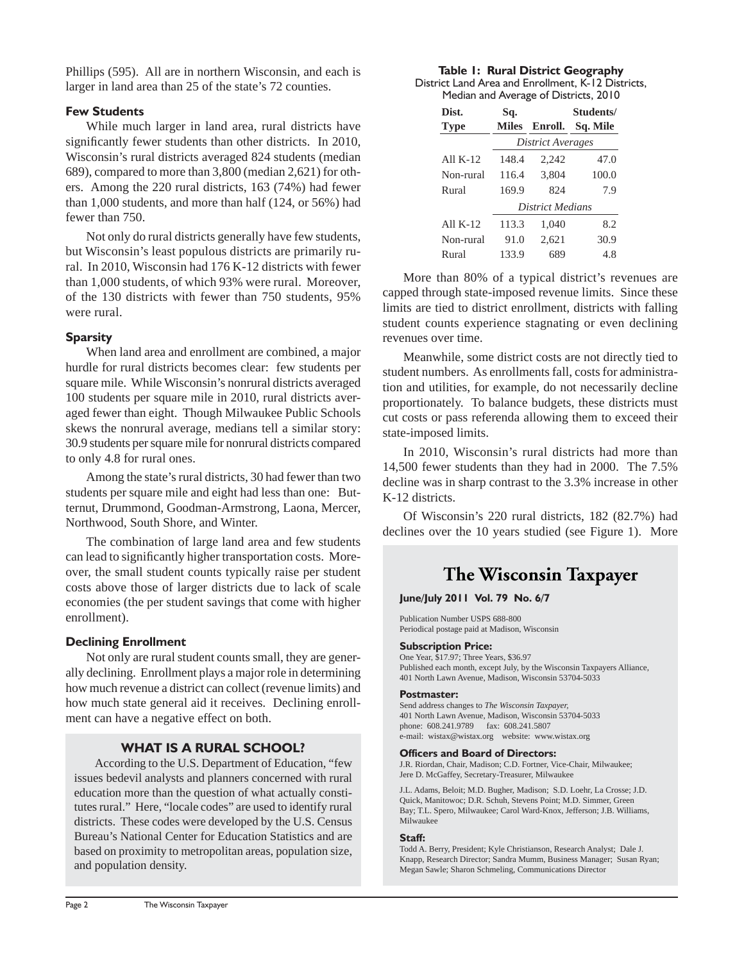Phillips (595). All are in northern Wisconsin, and each is larger in land area than 25 of the state's 72 counties.

# **Few Students**

While much larger in land area, rural districts have significantly fewer students than other districts. In 2010, Wisconsin's rural districts averaged 824 students (median 689), compared to more than 3,800 (median 2,621) for others. Among the 220 rural districts, 163 (74%) had fewer than 1,000 students, and more than half (124, or 56%) had fewer than 750.

Not only do rural districts generally have few students, but Wisconsin's least populous districts are primarily rural. In 2010, Wisconsin had 176 K-12 districts with fewer than 1,000 students, of which 93% were rural. Moreover, of the 130 districts with fewer than 750 students, 95% were rural.

# **Sparsity**

When land area and enrollment are combined, a major hurdle for rural districts becomes clear: few students per square mile. While Wisconsin's nonrural districts averaged 100 students per square mile in 2010, rural districts averaged fewer than eight. Though Milwaukee Public Schools skews the nonrural average, medians tell a similar story: 30.9 students per square mile for nonrural districts compared to only 4.8 for rural ones.

Among the state's rural districts, 30 had fewer than two students per square mile and eight had less than one: Butternut, Drummond, Goodman-Armstrong, Laona, Mercer, Northwood, South Shore, and Winter.

The combination of large land area and few students can lead to significantly higher transportation costs. Moreover, the small student counts typically raise per student costs above those of larger districts due to lack of scale economies (the per student savings that come with higher enrollment).

# **Declining Enrollment**

Not only are rural student counts small, they are generally declining. Enrollment plays a major role in determining how much revenue a district can collect (revenue limits) and how much state general aid it receives. Declining enrollment can have a negative effect on both.

# **WHAT IS A RURAL SCHOOL?**

According to the U.S. Department of Education, "few issues bedevil analysts and planners concerned with rural education more than the question of what actually constitutes rural." Here, "locale codes" are used to identify rural districts. These codes were developed by the U.S. Census Bureau's National Center for Education Statistics and are based on proximity to metropolitan areas, population size, and population density.

#### **Table 1: Rural District Geography** District Land Area and Enrollment, K-12 Districts,

Median and Average of Districts, 2010

| Dist.<br><b>Type</b> | Sq.<br><b>Miles</b> | Enroll.                 | Students/<br>Sq. Mile |  |  |
|----------------------|---------------------|-------------------------|-----------------------|--|--|
|                      |                     | District Averages       |                       |  |  |
| All $K-12$           | 148.4               | 2,242                   | 47.0                  |  |  |
| Non-rural            | 116.4               | 3,804                   | 100.0                 |  |  |
| Rural                | 169.9               | 824                     | 7.9                   |  |  |
|                      |                     | <b>District Medians</b> |                       |  |  |
| All $K-12$           | 113.3               | 1,040                   | 8.2                   |  |  |
| Non-rural            | 91.0                | 2,621                   | 30.9                  |  |  |
| Rural                | 133.9               | 689                     | 4.8                   |  |  |

More than 80% of a typical district's revenues are capped through state-imposed revenue limits. Since these limits are tied to district enrollment, districts with falling student counts experience stagnating or even declining revenues over time.

Meanwhile, some district costs are not directly tied to student numbers. As enrollments fall, costs for administration and utilities, for example, do not necessarily decline proportionately. To balance budgets, these districts must cut costs or pass referenda allowing them to exceed their state-imposed limits.

In 2010, Wisconsin's rural districts had more than 14,500 fewer students than they had in 2000. The 7.5% decline was in sharp contrast to the 3.3% increase in other K-12 districts.

Of Wisconsin's 220 rural districts, 182 (82.7%) had declines over the 10 years studied (see Figure 1). More

# **The Wisconsin Taxpayer**

# **June/July 2011 Vol. 79 No. 6/7**

Publication Number USPS 688-800 Periodical postage paid at Madison, Wisconsin

#### **Subscription Price:**

One Year, \$17.97; Three Years, \$36.97 Published each month, except July, by the Wisconsin Taxpayers Alliance, 401 North Lawn Avenue, Madison, Wisconsin 53704-5033

#### **Postmaster:**

Send address changes to *The Wisconsin Taxpayer,* 401 North Lawn Avenue, Madison, Wisconsin 53704-5033 phone: 608.241.9789 fax: 608.241.5807 e-mail: wistax@wistax.org website: www.wistax.org

#### **Officers and Board of Directors:**

J.R. Riordan, Chair, Madison; C.D. Fortner, Vice-Chair, Milwaukee; Jere D. McGaffey, Secretary-Treasurer, Milwaukee

J.L. Adams, Beloit; M.D. Bugher, Madison; S.D. Loehr, La Crosse; J.D. Quick, Manitowoc; D.R. Schuh, Stevens Point; M.D. Simmer, Green Bay; T.L. Spero, Milwaukee; Carol Ward-Knox, Jefferson; J.B. Williams, Milwaukee

#### **Staff:**

Todd A. Berry, President; Kyle Christianson, Research Analyst; Dale J. Knapp, Research Director; Sandra Mumm, Business Manager; Susan Ryan; Megan Sawle; Sharon Schmeling, Communications Director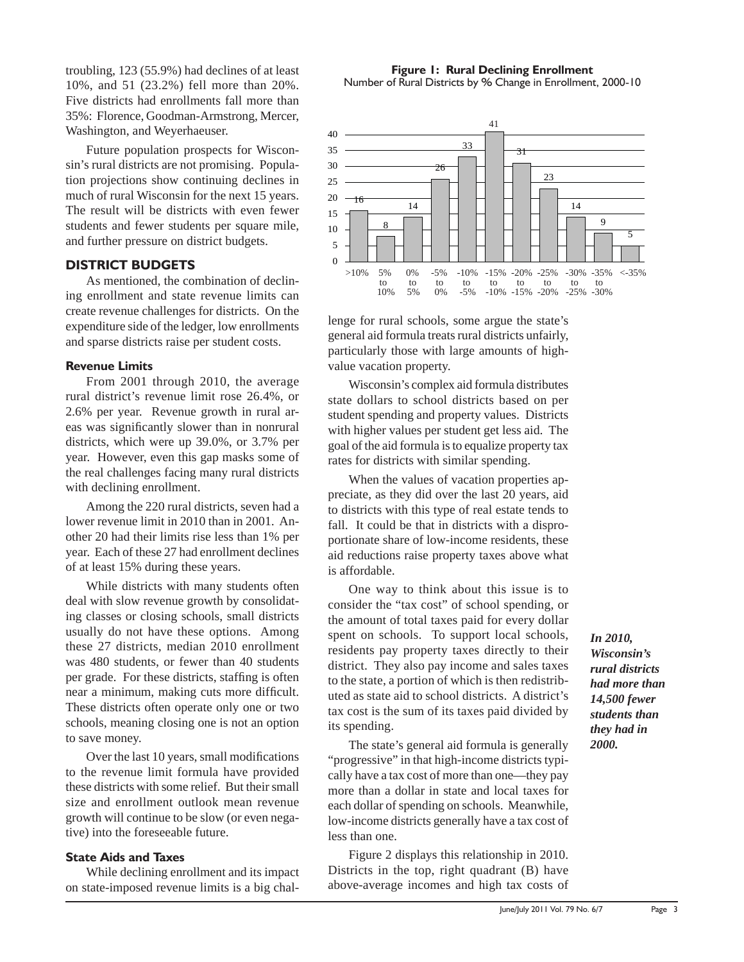troubling, 123 (55.9%) had declines of at least 10%, and 51 (23.2%) fell more than 20%. Five districts had enrollments fall more than 35%: Florence, Goodman-Armstrong, Mercer, Washington, and Weyerhaeuser.

Future population prospects for Wisconsin's rural districts are not promising. Population projections show continuing declines in much of rural Wisconsin for the next 15 years. The result will be districts with even fewer students and fewer students per square mile, and further pressure on district budgets.

# **DISTRICT BUDGETS**

As mentioned, the combination of declining enrollment and state revenue limits can create revenue challenges for districts. On the expenditure side of the ledger, low enrollments and sparse districts raise per student costs.

# **Revenue Limits**

From 2001 through 2010, the average rural district's revenue limit rose 26.4%, or 2.6% per year. Revenue growth in rural areas was significantly slower than in nonrural districts, which were up 39.0%, or 3.7% per year. However, even this gap masks some of the real challenges facing many rural districts with declining enrollment.

Among the 220 rural districts, seven had a lower revenue limit in 2010 than in 2001. Another 20 had their limits rise less than 1% per year. Each of these 27 had enrollment declines of at least 15% during these years.

While districts with many students often deal with slow revenue growth by consolidating classes or closing schools, small districts usually do not have these options. Among these 27 districts, median 2010 enrollment was 480 students, or fewer than 40 students per grade. For these districts, staffing is often near a minimum, making cuts more difficult. These districts often operate only one or two schools, meaning closing one is not an option to save money.

Over the last 10 years, small modifications to the revenue limit formula have provided these districts with some relief. But their small size and enrollment outlook mean revenue growth will continue to be slow (or even negative) into the foreseeable future.

# **State Aids and Taxes**

While declining enrollment and its impact on state-imposed revenue limits is a big chal-

**Figure 1: Rural Declining Enrollment** Number of Rural Districts by % Change in Enrollment, 2000-10



lenge for rural schools, some argue the state's general aid formula treats rural districts unfairly, particularly those with large amounts of highvalue vacation property.

Wisconsin's complex aid formula distributes state dollars to school districts based on per student spending and property values. Districts with higher values per student get less aid. The goal of the aid formula is to equalize property tax rates for districts with similar spending.

When the values of vacation properties appreciate, as they did over the last 20 years, aid to districts with this type of real estate tends to fall. It could be that in districts with a disproportionate share of low-income residents, these aid reductions raise property taxes above what is affordable.

One way to think about this issue is to consider the "tax cost" of school spending, or the amount of total taxes paid for every dollar spent on schools. To support local schools, residents pay property taxes directly to their district. They also pay income and sales taxes to the state, a portion of which is then redistributed as state aid to school districts. A district's tax cost is the sum of its taxes paid divided by its spending.

The state's general aid formula is generally "progressive" in that high-income districts typically have a tax cost of more than one—they pay more than a dollar in state and local taxes for each dollar of spending on schools. Meanwhile, low-income districts generally have a tax cost of less than one.

Figure 2 displays this relationship in 2010. Districts in the top, right quadrant (B) have above-average incomes and high tax costs of *In 2010, Wisconsin's rural districts had more than 14,500 fewer students than they had in 2000.*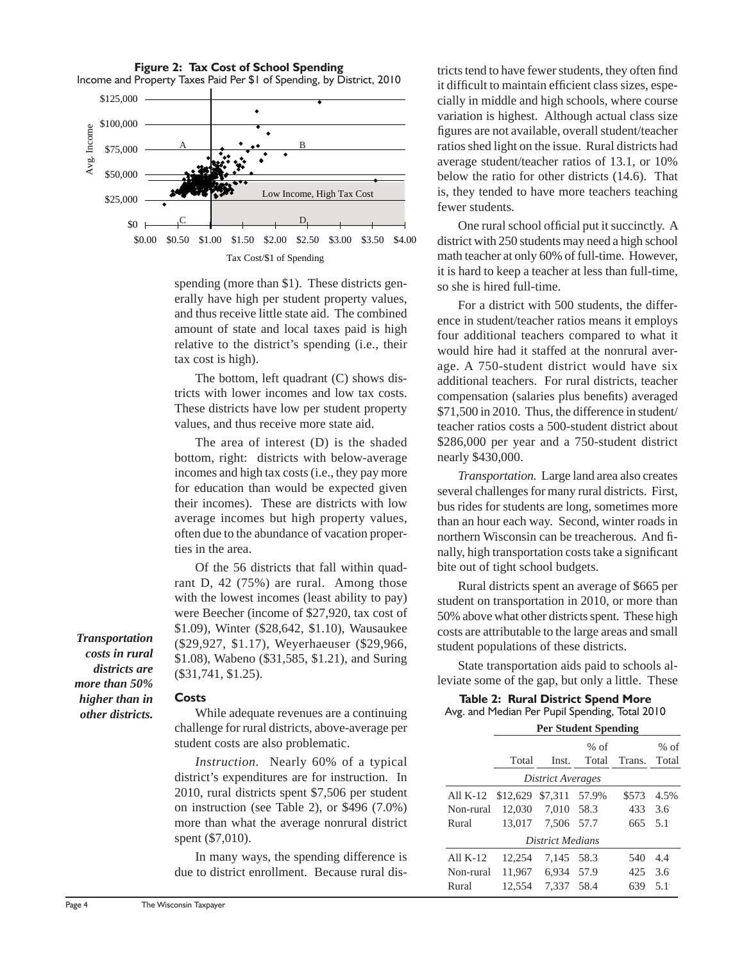**Figure 2: Tax Cost of School Spending** Income and Property Taxes Paid Per \$1 of Spending, by District, 2010



spending (more than \$1). These districts generally have high per student property values, and thus receive little state aid. The combined amount of state and local taxes paid is high relative to the district's spending (i.e., their tax cost is high).

The bottom, left quadrant (C) shows districts with lower incomes and low tax costs. These districts have low per student property values, and thus receive more state aid.

The area of interest (D) is the shaded bottom, right: districts with below-average incomes and high tax costs (i.e., they pay more for education than would be expected given their incomes). These are districts with low average incomes but high property values, often due to the abundance of vacation properties in the area.

Of the 56 districts that fall within quadrant D, 42 (75%) are rural. Among those with the lowest incomes (least ability to pay) were Beecher (income of \$27,920, tax cost of \$1.09), Winter (\$28,642, \$1.10), Wausaukee (\$29,927, \$1.17), Weyerhaeuser (\$29,966, \$1.08), Wabeno (\$31,585, \$1.21), and Suring (\$31,741, \$1.25).

*Transportation costs in rural districts are more than 50% higher than in other districts.*

#### **Costs**

While adequate revenues are a continuing challenge for rural districts, above-average per student costs are also problematic.

*Instruction.* Nearly 60% of a typical district's expenditures are for instruction. In 2010, rural districts spent \$7,506 per student on instruction (see Table 2), or \$496 (7.0%) more than what the average nonrural district spent (\$7,010).

In many ways, the spending difference is due to district enrollment. Because rural districts tend to have fewer students, they often find it difficult to maintain efficient class sizes, especially in middle and high schools, where course variation is highest. Although actual class size figures are not available, overall student/teacher ratios shed light on the issue. Rural districts had average student/teacher ratios of 13.1, or 10% below the ratio for other districts (14.6). That is, they tended to have more teachers teaching fewer students.

One rural school official put it succinctly. A district with 250 students may need a high school math teacher at only 60% of full-time. However, it is hard to keep a teacher at less than full-time, so she is hired full-time.

For a district with 500 students, the difference in student/teacher ratios means it employs four additional teachers compared to what it would hire had it staffed at the nonrural average. A 750-student district would have six additional teachers. For rural districts, teacher compensation (salaries plus benefits) averaged \$71,500 in 2010. Thus, the difference in student/ teacher ratios costs a 500-student district about \$286,000 per year and a 750-student district nearly \$430,000.

*Transportation.* Large land area also creates several challenges for many rural districts. First, bus rides for students are long, sometimes more than an hour each way. Second, winter roads in northern Wisconsin can be treacherous. And finally, high transportation costs take a significant bite out of tight school budgets.

Rural districts spent an average of \$665 per student on transportation in 2010, or more than 50% above what other districts spent. These high costs are attributable to the large areas and small student populations of these districts.

State transportation aids paid to schools alleviate some of the gap, but only a little. These

#### **Table 2: Rural District Spend More** Avg. and Median Per Pupil Spending, Total 2010 **Per Student Spending**

|            | 1 et biadent openants |                   |             |              |        |  |  |  |  |
|------------|-----------------------|-------------------|-------------|--------------|--------|--|--|--|--|
|            |                       |                   | $%$ of      |              | $%$ of |  |  |  |  |
|            | Total                 |                   | Inst. Total | Trans. Total |        |  |  |  |  |
|            |                       | District Averages |             |              |        |  |  |  |  |
| All $K-12$ | \$12,629              | \$7,311 57.9%     |             | \$573        | 4.5%   |  |  |  |  |
| Non-rural  | 12,030                | 7,010 58.3        |             | 433          | 3.6    |  |  |  |  |
| Rural      | 13.017                | 7,506 57.7        |             | 665          | 5.1    |  |  |  |  |
|            |                       | District Medians  |             |              |        |  |  |  |  |
| All $K-12$ | 12.254                | 7.145 58.3        |             | 540          | 4.4    |  |  |  |  |
| Non-rural  | 11,967                | 6,934 57.9        |             | 425          | 3.6    |  |  |  |  |
| Rural      | 12,554                | 7,337 58.4        |             | 639          | 5.1    |  |  |  |  |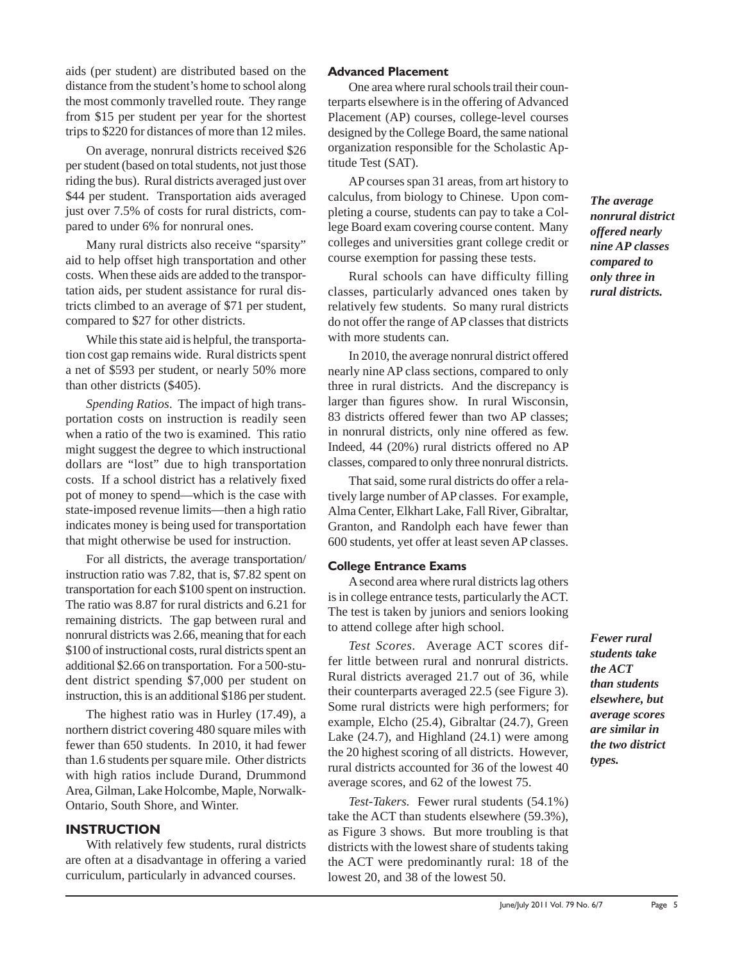aids (per student) are distributed based on the distance from the student's home to school along the most commonly travelled route. They range from \$15 per student per year for the shortest trips to \$220 for distances of more than 12 miles.

On average, nonrural districts received \$26 per student (based on total students, not just those riding the bus). Rural districts averaged just over \$44 per student. Transportation aids averaged just over 7.5% of costs for rural districts, compared to under 6% for nonrural ones.

Many rural districts also receive "sparsity" aid to help offset high transportation and other costs. When these aids are added to the transportation aids, per student assistance for rural districts climbed to an average of \$71 per student, compared to \$27 for other districts.

While this state aid is helpful, the transportation cost gap remains wide. Rural districts spent a net of \$593 per student, or nearly 50% more than other districts (\$405).

*Spending Ratios*. The impact of high transportation costs on instruction is readily seen when a ratio of the two is examined. This ratio might suggest the degree to which instructional dollars are "lost" due to high transportation costs. If a school district has a relatively fixed pot of money to spend—which is the case with state-imposed revenue limits—then a high ratio indicates money is being used for transportation that might otherwise be used for instruction.

For all districts, the average transportation/ instruction ratio was 7.82, that is, \$7.82 spent on transportation for each \$100 spent on instruction. The ratio was 8.87 for rural districts and 6.21 for remaining districts. The gap between rural and nonrural districts was 2.66, meaning that for each \$100 of instructional costs, rural districts spent an additional \$2.66 on transportation. For a 500-student district spending \$7,000 per student on instruction, this is an additional \$186 per student.

The highest ratio was in Hurley (17.49), a northern district covering 480 square miles with fewer than 650 students. In 2010, it had fewer than 1.6 students per square mile. Other districts with high ratios include Durand, Drummond Area, Gilman, Lake Holcombe, Maple, Norwalk-Ontario, South Shore, and Winter.

# **INSTRUCTION**

With relatively few students, rural districts are often at a disadvantage in offering a varied curriculum, particularly in advanced courses.

### **Advanced Placement**

One area where rural schools trail their counterparts elsewhere is in the offering of Advanced Placement (AP) courses, college-level courses designed by the College Board, the same national organization responsible for the Scholastic Aptitude Test (SAT).

AP courses span 31 areas, from art history to calculus, from biology to Chinese. Upon completing a course, students can pay to take a College Board exam covering course content. Many colleges and universities grant college credit or course exemption for passing these tests.

Rural schools can have difficulty filling classes, particularly advanced ones taken by relatively few students. So many rural districts do not offer the range of AP classes that districts with more students can.

In 2010, the average nonrural district offered nearly nine AP class sections, compared to only three in rural districts. And the discrepancy is larger than figures show. In rural Wisconsin, 83 districts offered fewer than two AP classes: in nonrural districts, only nine offered as few. Indeed, 44 (20%) rural districts offered no AP classes, compared to only three nonrural districts.

That said, some rural districts do offer a relatively large number of AP classes. For example, Alma Center, Elkhart Lake, Fall River, Gibraltar, Granton, and Randolph each have fewer than 600 students, yet offer at least seven AP classes.

#### **College Entrance Exams**

A second area where rural districts lag others is in college entrance tests, particularly the ACT. The test is taken by juniors and seniors looking to attend college after high school.

*Test Scores.* Average ACT scores differ little between rural and nonrural districts. Rural districts averaged 21.7 out of 36, while their counterparts averaged 22.5 (see Figure 3). Some rural districts were high performers; for example, Elcho (25.4), Gibraltar (24.7), Green Lake (24.7), and Highland (24.1) were among the 20 highest scoring of all districts. However, rural districts accounted for 36 of the lowest 40 average scores, and 62 of the lowest 75.

*Test-Takers.* Fewer rural students (54.1%) take the ACT than students elsewhere (59.3%), as Figure 3 shows. But more troubling is that districts with the lowest share of students taking the ACT were predominantly rural: 18 of the lowest 20, and 38 of the lowest 50.

*The average nonrural district offered nearly nine AP classes compared to only three in rural districts.*

*Fewer rural students take the ACT than students elsewhere, but average scores are similar in the two district types.*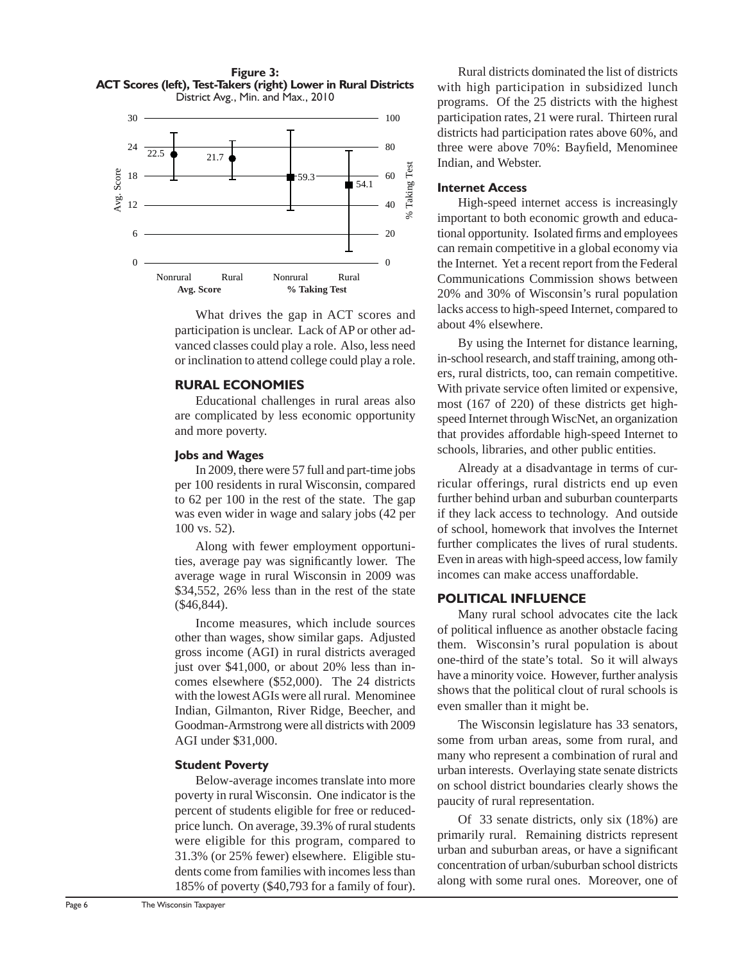

What drives the gap in ACT scores and participation is unclear. Lack of AP or other advanced classes could play a role. Also, less need or inclination to attend college could play a role.

#### **RURAL ECONOMIES**

Educational challenges in rural areas also are complicated by less economic opportunity and more poverty.

#### **Jobs and Wages**

In 2009, there were 57 full and part-time jobs per 100 residents in rural Wisconsin, compared to 62 per 100 in the rest of the state. The gap was even wider in wage and salary jobs (42 per 100 vs. 52).

Along with fewer employment opportunities, average pay was significantly lower. The average wage in rural Wisconsin in 2009 was \$34,552, 26% less than in the rest of the state (\$46,844).

Income measures, which include sources other than wages, show similar gaps. Adjusted gross income (AGI) in rural districts averaged just over \$41,000, or about 20% less than incomes elsewhere (\$52,000). The 24 districts with the lowest AGIs were all rural. Menominee Indian, Gilmanton, River Ridge, Beecher, and Goodman-Armstrong were all districts with 2009 AGI under \$31,000.

#### **Student Poverty**

Below-average incomes translate into more poverty in rural Wisconsin. One indicator is the percent of students eligible for free or reducedprice lunch. On average, 39.3% of rural students were eligible for this program, compared to 31.3% (or 25% fewer) elsewhere. Eligible students come from families with incomes less than 185% of poverty (\$40,793 for a family of four).

Rural districts dominated the list of districts with high participation in subsidized lunch programs. Of the 25 districts with the highest participation rates, 21 were rural. Thirteen rural districts had participation rates above 60%, and three were above 70%: Bayfield, Menominee Indian, and Webster.

#### **Internet Access**

High-speed internet access is increasingly important to both economic growth and educational opportunity. Isolated firms and employees can remain competitive in a global economy via the Internet. Yet a recent report from the Federal Communications Commission shows between 20% and 30% of Wisconsin's rural population lacks access to high-speed Internet, compared to about 4% elsewhere.

By using the Internet for distance learning, in-school research, and staff training, among others, rural districts, too, can remain competitive. With private service often limited or expensive, most (167 of 220) of these districts get highspeed Internet through WiscNet, an organization that provides affordable high-speed Internet to schools, libraries, and other public entities.

Already at a disadvantage in terms of curricular offerings, rural districts end up even further behind urban and suburban counterparts if they lack access to technology. And outside of school, homework that involves the Internet further complicates the lives of rural students. Even in areas with high-speed access, low family incomes can make access unaffordable.

#### **POLITICAL INFLUENCE**

Many rural school advocates cite the lack of political influence as another obstacle facing them. Wisconsin's rural population is about one-third of the state's total. So it will always have a minority voice. However, further analysis shows that the political clout of rural schools is even smaller than it might be.

The Wisconsin legislature has 33 senators, some from urban areas, some from rural, and many who represent a combination of rural and urban interests. Overlaying state senate districts on school district boundaries clearly shows the paucity of rural representation.

Of 33 senate districts, only six (18%) are primarily rural. Remaining districts represent urban and suburban areas, or have a significant concentration of urban/suburban school districts along with some rural ones. Moreover, one of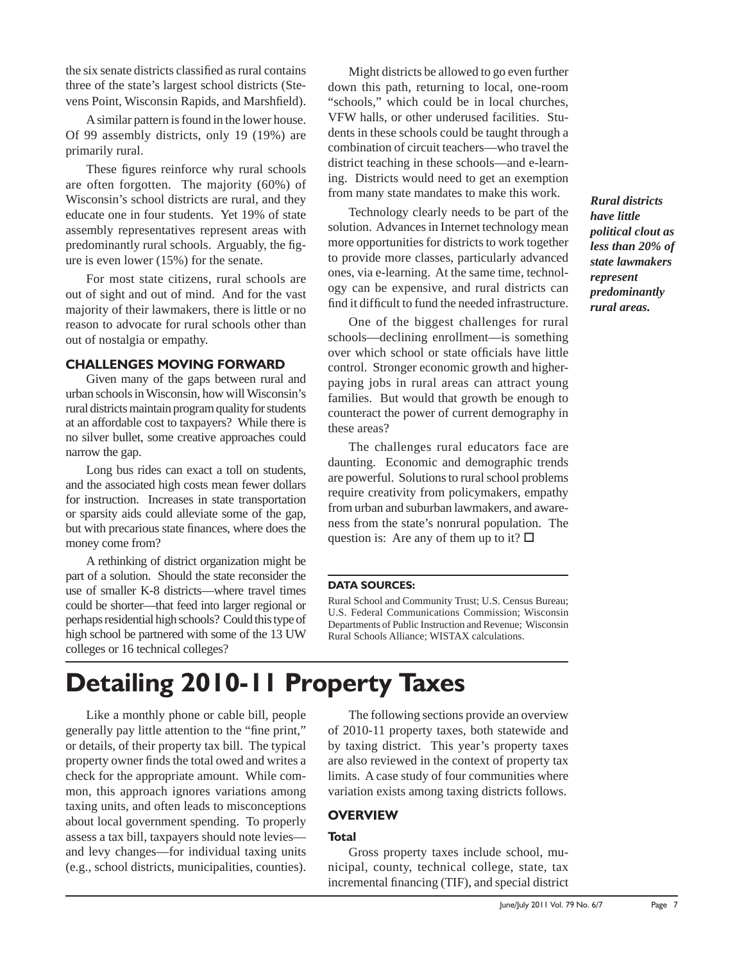the six senate districts classified as rural contains three of the state's largest school districts (Stevens Point, Wisconsin Rapids, and Marshfield).

A similar pattern is found in the lower house. Of 99 assembly districts, only 19 (19%) are primarily rural.

These figures reinforce why rural schools are often forgotten. The majority (60%) of Wisconsin's school districts are rural, and they educate one in four students. Yet 19% of state assembly representatives represent areas with predominantly rural schools. Arguably, the figure is even lower (15%) for the senate.

For most state citizens, rural schools are out of sight and out of mind. And for the vast majority of their lawmakers, there is little or no reason to advocate for rural schools other than out of nostalgia or empathy.

# **CHALLENGES MOVING FORWARD**

Given many of the gaps between rural and urban schools in Wisconsin, how will Wisconsin's rural districts maintain program quality for students at an affordable cost to taxpayers? While there is no silver bullet, some creative approaches could narrow the gap.

Long bus rides can exact a toll on students, and the associated high costs mean fewer dollars for instruction. Increases in state transportation or sparsity aids could alleviate some of the gap, but with precarious state finances, where does the money come from?

A rethinking of district organization might be part of a solution. Should the state reconsider the use of smaller K-8 districts—where travel times could be shorter—that feed into larger regional or perhaps residential high schools? Could this type of high school be partnered with some of the 13 UW colleges or 16 technical colleges?

Might districts be allowed to go even further down this path, returning to local, one-room "schools," which could be in local churches, VFW halls, or other underused facilities. Students in these schools could be taught through a combination of circuit teachers—who travel the district teaching in these schools—and e-learning. Districts would need to get an exemption from many state mandates to make this work.

Technology clearly needs to be part of the solution. Advances in Internet technology mean more opportunities for districts to work together to provide more classes, particularly advanced ones, via e-learning. At the same time, technology can be expensive, and rural districts can find it difficult to fund the needed infrastructure.

One of the biggest challenges for rural schools—declining enrollment—is something over which school or state officials have little control. Stronger economic growth and higherpaying jobs in rural areas can attract young families. But would that growth be enough to counteract the power of current demography in these areas?

The challenges rural educators face are daunting. Economic and demographic trends are powerful. Solutions to rural school problems require creativity from policymakers, empathy from urban and suburban lawmakers, and awareness from the state's nonrural population. The question is: Are any of them up to it?  $\square$ 

#### **DATA SOURCES:**

Rural School and Community Trust; U.S. Census Bureau; U.S. Federal Communications Commission; Wisconsin Departments of Public Instruction and Revenue; Wisconsin Rural Schools Alliance; WISTAX calculations.

# **Detailing 2010-11 Property Taxes**

Like a monthly phone or cable bill, people generally pay little attention to the "fine print," or details, of their property tax bill. The typical property owner finds the total owed and writes a check for the appropriate amount. While common, this approach ignores variations among taxing units, and often leads to misconceptions about local government spending. To properly assess a tax bill, taxpayers should note levies and levy changes—for individual taxing units (e.g., school districts, municipalities, counties).

The following sections provide an overview of 2010-11 property taxes, both statewide and by taxing district. This year's property taxes are also reviewed in the context of property tax limits. A case study of four communities where variation exists among taxing districts follows.

#### **OVERVIEW**

#### **Total**

Gross property taxes include school, municipal, county, technical college, state, tax incremental financing (TIF), and special district *Rural districts have little political clout as less than 20% of state lawmakers represent predominantly rural areas.*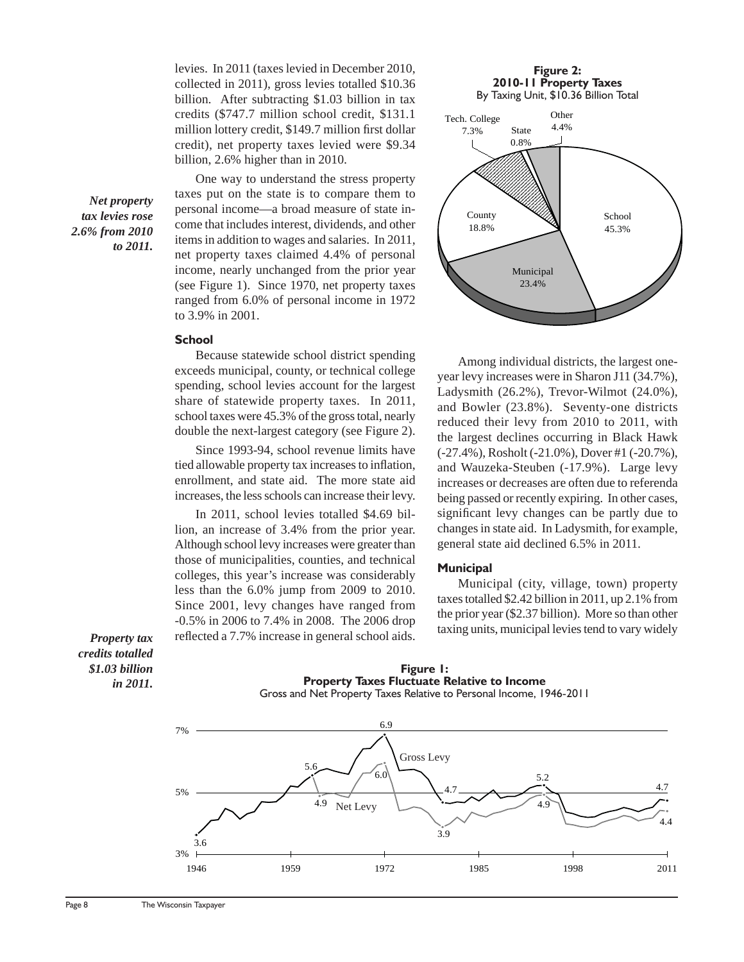levies. In 2011 (taxes levied in December 2010, collected in 2011), gross levies totalled \$10.36 billion. After subtracting \$1.03 billion in tax credits (\$747.7 million school credit, \$131.1 million lottery credit, \$149.7 million first dollar credit), net property taxes levied were \$9.34 billion, 2.6% higher than in 2010.

One way to understand the stress property taxes put on the state is to compare them to personal income—a broad measure of state income that includes interest, dividends, and other items in addition to wages and salaries. In 2011, net property taxes claimed 4.4% of personal income, nearly unchanged from the prior year (see Figure 1). Since 1970, net property taxes ranged from 6.0% of personal income in 1972 to 3.9% in 2001.

#### **School**

Because statewide school district spending exceeds municipal, county, or technical college spending, school levies account for the largest share of statewide property taxes. In 2011, school taxes were 45.3% of the gross total, nearly double the next-largest category (see Figure 2).

Since 1993-94, school revenue limits have tied allowable property tax increases to inflation, enrollment, and state aid. The more state aid increases, the less schools can increase their levy.

In 2011, school levies totalled \$4.69 billion, an increase of 3.4% from the prior year. Although school levy increases were greater than those of municipalities, counties, and technical colleges, this year's increase was considerably less than the 6.0% jump from 2009 to 2010. Since 2001, levy changes have ranged from -0.5% in 2006 to 7.4% in 2008. The 2006 drop reflected a 7.7% increase in general school aids.

#### **Figure 2: 2010-11 Property Taxes**

By Taxing Unit, \$10.36 Billion Total



Among individual districts, the largest oneyear levy increases were in Sharon J11 (34.7%), Ladysmith (26.2%), Trevor-Wilmot (24.0%), and Bowler (23.8%). Seventy-one districts reduced their levy from 2010 to 2011, with the largest declines occurring in Black Hawk (-27.4%), Rosholt (-21.0%), Dover #1 (-20.7%), and Wauzeka-Steuben (-17.9%). Large levy increases or decreases are often due to referenda being passed or recently expiring. In other cases, significant levy changes can be partly due to changes in state aid. In Ladysmith, for example, general state aid declined 6.5% in 2011.

#### **Municipal**

Municipal (city, village, town) property taxes totalled \$2.42 billion in 2011, up 2.1% from the prior year (\$2.37 billion). More so than other taxing units, municipal levies tend to vary widely

*Property tax credits totalled \$1.03 billion in 2011.*

*Net property tax levies rose 2.6% from 2010 to 2011.*



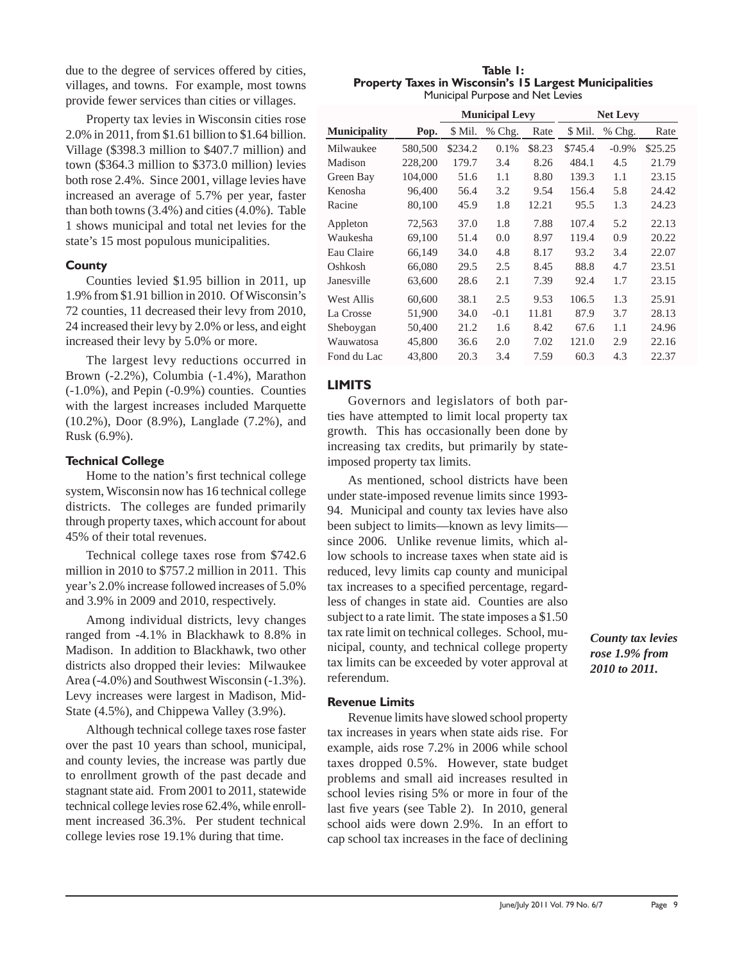due to the degree of services offered by cities, villages, and towns. For example, most towns provide fewer services than cities or villages.

Property tax levies in Wisconsin cities rose 2.0% in 2011, from \$1.61 billion to \$1.64 billion. Village (\$398.3 million to \$407.7 million) and town (\$364.3 million to \$373.0 million) levies both rose 2.4%. Since 2001, village levies have increased an average of 5.7% per year, faster than both towns (3.4%) and cities (4.0%). Table 1 shows municipal and total net levies for the state's 15 most populous municipalities.

#### **County**

Counties levied \$1.95 billion in 2011, up 1.9% from \$1.91 billion in 2010. Of Wisconsin's 72 counties, 11 decreased their levy from 2010, 24 increased their levy by 2.0% or less, and eight increased their levy by 5.0% or more.

The largest levy reductions occurred in Brown (-2.2%), Columbia (-1.4%), Marathon (-1.0%), and Pepin (-0.9%) counties. Counties with the largest increases included Marquette (10.2%), Door (8.9%), Langlade (7.2%), and Rusk (6.9%).

# **Technical College**

Home to the nation's first technical college system, Wisconsin now has 16 technical college districts. The colleges are funded primarily through property taxes, which account for about 45% of their total revenues.

Technical college taxes rose from \$742.6 million in 2010 to \$757.2 million in 2011. This year's 2.0% increase followed increases of 5.0% and 3.9% in 2009 and 2010, respectively.

Among individual districts, levy changes ranged from -4.1% in Blackhawk to 8.8% in Madison. In addition to Blackhawk, two other districts also dropped their levies: Milwaukee Area (-4.0%) and Southwest Wisconsin (-1.3%). Levy increases were largest in Madison, Mid-State (4.5%), and Chippewa Valley (3.9%).

Although technical college taxes rose faster over the past 10 years than school, municipal, and county levies, the increase was partly due to enrollment growth of the past decade and stagnant state aid. From 2001 to 2011, statewide technical college levies rose 62.4%, while enrollment increased 36.3%. Per student technical college levies rose 19.1% during that time.

**Table 1: Property Taxes in Wisconsin's 15 Largest Municipalities** Municipal Purpose and Net Levies

|                     |         |         | <b>Municipal Levy</b> |        | <b>Net Levy</b> |          |         |  |  |
|---------------------|---------|---------|-----------------------|--------|-----------------|----------|---------|--|--|
| <b>Municipality</b> | Pop.    | \$ Mil. | % Chg.                | Rate   | \$ Mil.         | % Chg.   | Rate    |  |  |
| Milwaukee           | 580,500 | \$234.2 | 0.1%                  | \$8.23 | \$745.4         | $-0.9\%$ | \$25.25 |  |  |
| Madison             | 228,200 | 179.7   | 3.4                   | 8.26   | 484.1           | 4.5      | 21.79   |  |  |
| Green Bay           | 104,000 | 51.6    | 1.1                   | 8.80   | 139.3           | 1.1      | 23.15   |  |  |
| Kenosha             | 96,400  | 56.4    | 3.2                   | 9.54   | 156.4           | 5.8      | 24.42   |  |  |
| Racine              | 80,100  | 45.9    | 1.8                   | 12.21  | 95.5            | 1.3      | 24.23   |  |  |
| Appleton            | 72,563  | 37.0    | 1.8                   | 7.88   | 107.4           | 5.2      | 22.13   |  |  |
| Waukesha            | 69,100  | 51.4    | 0.0                   | 8.97   | 119.4           | 0.9      | 20.22   |  |  |
| Eau Claire          | 66,149  | 34.0    | 4.8                   | 8.17   | 93.2            | 3.4      | 22.07   |  |  |
| Oshkosh             | 66,080  | 29.5    | 2.5                   | 8.45   | 88.8            | 4.7      | 23.51   |  |  |
| Janesville          | 63,600  | 28.6    | 2.1                   | 7.39   | 92.4            | 1.7      | 23.15   |  |  |
| <b>West Allis</b>   | 60,600  | 38.1    | 2.5                   | 9.53   | 106.5           | 1.3      | 25.91   |  |  |
| La Crosse           | 51,900  | 34.0    | $-0.1$                | 11.81  | 87.9            | 3.7      | 28.13   |  |  |
| Sheboygan           | 50,400  | 21.2    | 1.6                   | 8.42   | 67.6            | 1.1      | 24.96   |  |  |
| Wauwatosa           | 45,800  | 36.6    | 2.0                   | 7.02   | 121.0           | 2.9      | 22.16   |  |  |
| Fond du Lac         | 43,800  | 20.3    | 3.4                   | 7.59   | 60.3            | 4.3      | 22.37   |  |  |

# **LIMITS**

Governors and legislators of both parties have attempted to limit local property tax growth. This has occasionally been done by increasing tax credits, but primarily by stateimposed property tax limits.

As mentioned, school districts have been under state-imposed revenue limits since 1993- 94. Municipal and county tax levies have also been subject to limits—known as levy limits since 2006. Unlike revenue limits, which allow schools to increase taxes when state aid is reduced, levy limits cap county and municipal tax increases to a specified percentage, regardless of changes in state aid. Counties are also subject to a rate limit. The state imposes a \$1.50 tax rate limit on technical colleges. School, municipal, county, and technical college property tax limits can be exceeded by voter approval at referendum.

# **Revenue Limits**

Revenue limits have slowed school property tax increases in years when state aids rise. For example, aids rose 7.2% in 2006 while school taxes dropped 0.5%. However, state budget problems and small aid increases resulted in school levies rising 5% or more in four of the last five years (see Table 2). In 2010, general school aids were down 2.9%. In an effort to cap school tax increases in the face of declining *County tax levies rose 1.9% from 2010 to 2011.*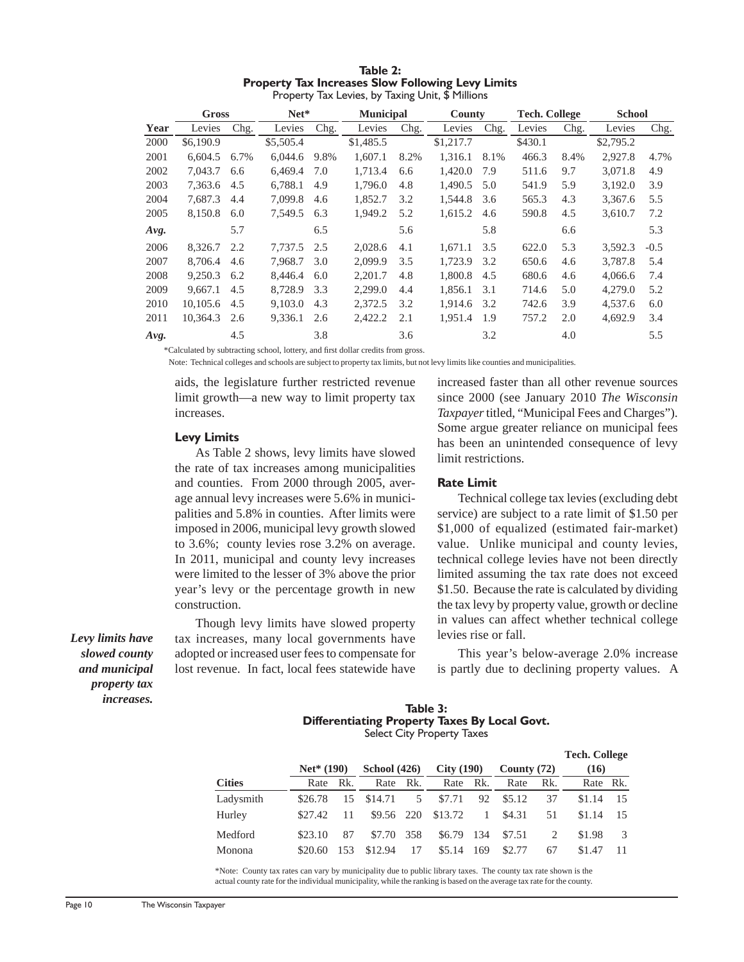| Table 2:                                                 |  |  |  |  |  |  |  |  |
|----------------------------------------------------------|--|--|--|--|--|--|--|--|
| <b>Property Tax Increases Slow Following Levy Limits</b> |  |  |  |  |  |  |  |  |
| Property Tax Levies, by Taxing Unit, \$ Millions         |  |  |  |  |  |  |  |  |

|      | Gross     |      | $Net*$    |      | <b>Municipal</b> |      | County    |      | <b>Tech. College</b> |      | <b>School</b> |        |
|------|-----------|------|-----------|------|------------------|------|-----------|------|----------------------|------|---------------|--------|
| Year | Levies    | Chg. | Levies    | Chg. | Levies           | Chg. | Levies    | Chg. | Levies               | Chg. | Levies        | Chg.   |
| 2000 | \$6,190.9 |      | \$5,505.4 |      | \$1,485.5        |      | \$1,217.7 |      | \$430.1              |      | \$2,795.2     |        |
| 2001 | 6.604.5   | 6.7% | 6,044.6   | 9.8% | 1.607.1          | 8.2% | 1.316.1   | 8.1% | 466.3                | 8.4% | 2.927.8       | 4.7%   |
| 2002 | 7.043.7   | 6.6  | 6,469.4   | 7.0  | 1,713.4          | 6.6  | 1,420.0   | 7.9  | 511.6                | 9.7  | 3,071.8       | 4.9    |
| 2003 | 7,363.6   | 4.5  | 6,788.1   | 4.9  | 1,796.0          | 4.8  | 1,490.5   | 5.0  | 541.9                | 5.9  | 3,192.0       | 3.9    |
| 2004 | 7.687.3   | 4.4  | 7,099.8   | 4.6  | 1,852.7          | 3.2  | 1,544.8   | 3.6  | 565.3                | 4.3  | 3,367.6       | 5.5    |
| 2005 | 8.150.8   | 6.0  | 7.549.5   | 6.3  | 1,949.2          | 5.2  | 1,615.2   | 4.6  | 590.8                | 4.5  | 3.610.7       | 7.2    |
| Avg. |           | 5.7  |           | 6.5  |                  | 5.6  |           | 5.8  |                      | 6.6  |               | 5.3    |
| 2006 | 8,326.7   | 2.2  | 7.737.5   | 2.5  | 2,028.6          | 4.1  | 1,671.1   | 3.5  | 622.0                | 5.3  | 3,592.3       | $-0.5$ |
| 2007 | 8.706.4   | 4.6  | 7.968.7   | 3.0  | 2,099.9          | 3.5  | 1.723.9   | 3.2  | 650.6                | 4.6  | 3.787.8       | 5.4    |
| 2008 | 9.250.3   | 6.2  | 8.446.4   | 6.0  | 2.201.7          | 4.8  | 1,800.8   | 4.5  | 680.6                | 4.6  | 4.066.6       | 7.4    |
| 2009 | 9.667.1   | 4.5  | 8.728.9   | 3.3  | 2.299.0          | 4.4  | 1.856.1   | 3.1  | 714.6                | 5.0  | 4,279.0       | 5.2    |
| 2010 | 10,105.6  | 4.5  | 9,103.0   | 4.3  | 2,372.5          | 3.2  | 1.914.6   | 3.2  | 742.6                | 3.9  | 4,537.6       | 6.0    |
| 2011 | 10,364.3  | 2.6  | 9,336.1   | 2.6  | 2,422.2          | 2.1  | 1.951.4   | 1.9  | 757.2                | 2.0  | 4.692.9       | 3.4    |
| Avg. |           | 4.5  |           | 3.8  |                  | 3.6  |           | 3.2  |                      | 4.0  |               | 5.5    |

\*Calculated by subtracting school, lottery, and fi rst dollar credits from gross.

Note: Technical colleges and schools are subject to property tax limits, but not levy limits like counties and municipalities.

aids, the legislature further restricted revenue limit growth—a new way to limit property tax increases.

#### **Levy Limits**

As Table 2 shows, levy limits have slowed the rate of tax increases among municipalities and counties. From 2000 through 2005, average annual levy increases were 5.6% in municipalities and 5.8% in counties. After limits were imposed in 2006, municipal levy growth slowed to 3.6%; county levies rose 3.2% on average. In 2011, municipal and county levy increases were limited to the lesser of 3% above the prior year's levy or the percentage growth in new construction.

Though levy limits have slowed property tax increases, many local governments have adopted or increased user fees to compensate for lost revenue. In fact, local fees statewide have increased faster than all other revenue sources since 2000 (see January 2010 *The Wisconsin Taxpayer* titled, "Municipal Fees and Charges"). Some argue greater reliance on municipal fees has been an unintended consequence of levy limit restrictions.

#### **Rate Limit**

Technical college tax levies (excluding debt service) are subject to a rate limit of \$1.50 per \$1,000 of equalized (estimated fair-market) value. Unlike municipal and county levies, technical college levies have not been directly limited assuming the tax rate does not exceed \$1.50. Because the rate is calculated by dividing the tax levy by property value, growth or decline in values can affect whether technical college levies rise or fall.

This year's below-average 2.0% increase is partly due to declining property values. A

#### **Table 3: Differentiating Property Taxes By Local Govt.** Select City Property Taxes

|               |              |     |                     |     |           |              |               |     | <b>Tech. College</b> |      |
|---------------|--------------|-----|---------------------|-----|-----------|--------------|---------------|-----|----------------------|------|
|               | $Net* (190)$ |     | <b>School</b> (426) |     | City(190) |              | County $(72)$ |     | (16)                 |      |
| <b>Cities</b> | Rk.<br>Rate  |     | Rate                | Rk. | Rate      | Rk.          | Rate          | Rk. | Rate Rk.             |      |
| Ladysmith     | \$26.78      | 15  | \$14.71             | 5   | \$7.71    | 92           | \$5.12        | 37  | \$1.14               | - 15 |
| Hurley        | \$27.42      | 11  | \$9.56 220          |     | \$13.72   | $\mathbf{1}$ | \$4.31        | 51  | \$1.14               | 15   |
| Medford       | \$23.10      | 87  | \$7.70              | 358 | \$6.79    | 134          | \$7.51        |     | \$1.98               |      |
| Monona        | \$20.60      | 153 | \$12.94             | 17  | \$5.14    | 169          | \$2.77        | 67  | \$1.47               | 11   |

\*Note: County tax rates can vary by municipality due to public library taxes. The county tax rate shown is the actual county rate for the individual municipality, while the ranking is based on the average tax rate for the county.

*Levy limits have slowed county and municipal property tax increases.*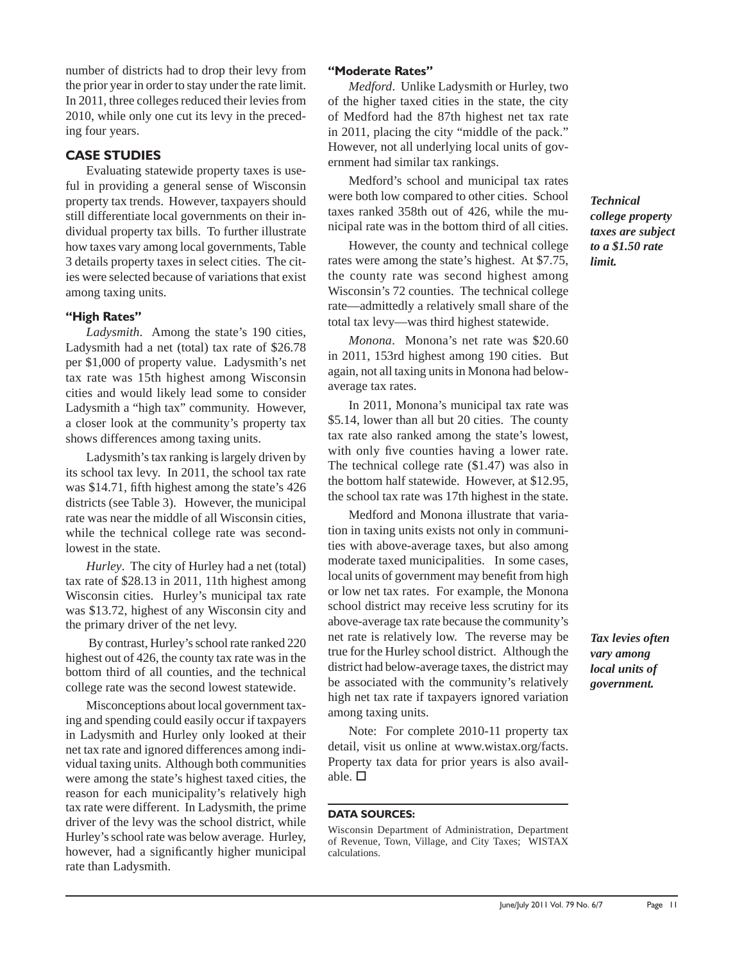number of districts had to drop their levy from the prior year in order to stay under the rate limit. In 2011, three colleges reduced their levies from 2010, while only one cut its levy in the preceding four years.

# **CASE STUDIES**

Evaluating statewide property taxes is useful in providing a general sense of Wisconsin property tax trends. However, taxpayers should still differentiate local governments on their individual property tax bills. To further illustrate how taxes vary among local governments, Table 3 details property taxes in select cities. The cities were selected because of variations that exist among taxing units.

# **"High Rates"**

*Ladysmith*. Among the state's 190 cities, Ladysmith had a net (total) tax rate of \$26.78 per \$1,000 of property value. Ladysmith's net tax rate was 15th highest among Wisconsin cities and would likely lead some to consider Ladysmith a "high tax" community. However, a closer look at the community's property tax shows differences among taxing units.

Ladysmith's tax ranking is largely driven by its school tax levy. In 2011, the school tax rate was \$14.71, fifth highest among the state's 426 districts (see Table 3). However, the municipal rate was near the middle of all Wisconsin cities, while the technical college rate was secondlowest in the state.

*Hurley*. The city of Hurley had a net (total) tax rate of \$28.13 in 2011, 11th highest among Wisconsin cities. Hurley's municipal tax rate was \$13.72, highest of any Wisconsin city and the primary driver of the net levy.

 By contrast, Hurley's school rate ranked 220 highest out of 426, the county tax rate was in the bottom third of all counties, and the technical college rate was the second lowest statewide.

Misconceptions about local government taxing and spending could easily occur if taxpayers in Ladysmith and Hurley only looked at their net tax rate and ignored differences among individual taxing units. Although both communities were among the state's highest taxed cities, the reason for each municipality's relatively high tax rate were different. In Ladysmith, the prime driver of the levy was the school district, while Hurley's school rate was below average. Hurley, however, had a significantly higher municipal rate than Ladysmith.

# **"Moderate Rates"**

*Medford*. Unlike Ladysmith or Hurley, two of the higher taxed cities in the state, the city of Medford had the 87th highest net tax rate in 2011, placing the city "middle of the pack." However, not all underlying local units of government had similar tax rankings.

Medford's school and municipal tax rates were both low compared to other cities. School taxes ranked 358th out of 426, while the municipal rate was in the bottom third of all cities.

However, the county and technical college rates were among the state's highest. At \$7.75, the county rate was second highest among Wisconsin's 72 counties. The technical college rate—admittedly a relatively small share of the total tax levy—was third highest statewide.

*Monona*. Monona's net rate was \$20.60 in 2011, 153rd highest among 190 cities. But again, not all taxing units in Monona had belowaverage tax rates.

In 2011, Monona's municipal tax rate was \$5.14, lower than all but 20 cities. The county tax rate also ranked among the state's lowest, with only five counties having a lower rate. The technical college rate (\$1.47) was also in the bottom half statewide. However, at \$12.95, the school tax rate was 17th highest in the state.

Medford and Monona illustrate that variation in taxing units exists not only in communities with above-average taxes, but also among moderate taxed municipalities. In some cases, local units of government may benefit from high or low net tax rates. For example, the Monona school district may receive less scrutiny for its above-average tax rate because the community's net rate is relatively low. The reverse may be true for the Hurley school district. Although the district had below-average taxes, the district may be associated with the community's relatively high net tax rate if taxpayers ignored variation among taxing units.

Note: For complete 2010-11 property tax detail, visit us online at www.wistax.org/facts. Property tax data for prior years is also available.  $\square$ 

#### **DATA SOURCES:**

*Technical college property taxes are subject to a \$1.50 rate limit.*

*Tax levies often vary among local units of government.*

Wisconsin Department of Administration, Department of Revenue, Town, Village, and City Taxes; WISTAX calculations.